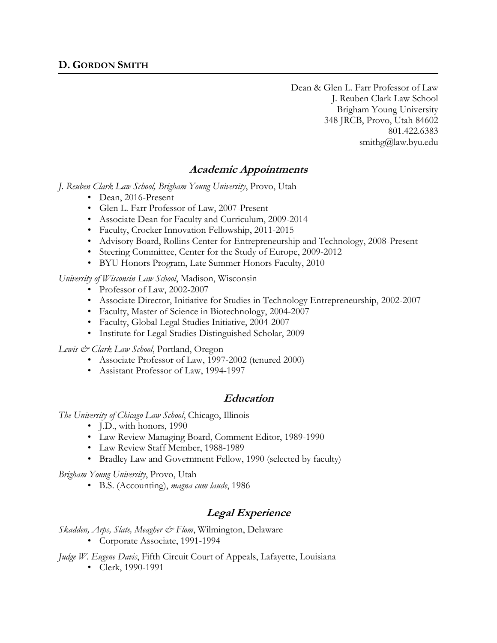Dean & Glen L. Farr Professor of Law J. Reuben Clark Law School Brigham Young University 348 JRCB, Provo, Utah 84602 801.422.6383 smithg@law.byu.edu

# **Academic Appointments**

*J. Reuben Clark Law School, Brigham Young University*, Provo, Utah

- Dean, 2016-Present
- Glen L. Farr Professor of Law, 2007-Present
- Associate Dean for Faculty and Curriculum, 2009-2014
- Faculty, Crocker Innovation Fellowship, 2011-2015
- Advisory Board, Rollins Center for Entrepreneurship and Technology, 2008-Present
- Steering Committee, Center for the Study of Europe, 2009-2012
- BYU Honors Program, Late Summer Honors Faculty, 2010

*University of Wisconsin Law School*, Madison, Wisconsin

- Professor of Law, 2002-2007
- Associate Director, Initiative for Studies in Technology Entrepreneurship, 2002-2007
- Faculty, Master of Science in Biotechnology, 2004-2007
- Faculty, Global Legal Studies Initiative, 2004-2007
- Institute for Legal Studies Distinguished Scholar, 2009

*Lewis & Clark Law School*, Portland, Oregon

- Associate Professor of Law, 1997-2002 (tenured 2000)
- Assistant Professor of Law, 1994-1997

## **Education**

*The University of Chicago Law School*, Chicago, Illinois

- J.D., with honors, 1990
- Law Review Managing Board, Comment Editor, 1989-1990
- Law Review Staff Member, 1988-1989
- Bradley Law and Government Fellow, 1990 (selected by faculty)

*Brigham Young University*, Provo, Utah

• B.S. (Accounting), *magna cum laude*, 1986

## **Legal Experience**

*Skadden, Arps, Slate, Meagher & Flom*, Wilmington, Delaware

• Corporate Associate, 1991-1994

*Judge W. Eugene Davis*, Fifth Circuit Court of Appeals, Lafayette, Louisiana

• Clerk, 1990-1991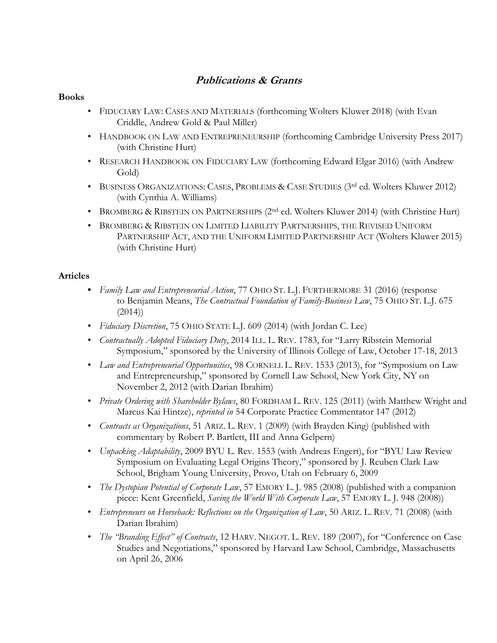# **Publications & Grants**

#### **Books**

- FIDUCIARY LAW: CASES AND MATERIALS (forthcoming Wolters Kluwer 2018) (with Evan Criddle, Andrew Gold & Paul Miller)
- HANDBOOK ON LAW AND ENTREPRENEURSHIP (forthcoming Cambridge University Press 2017) (with Christine Hurt)
- RESEARCH HANDBOOK ON FIDUCIARY LAW (forthcoming Edward Elgar 2016) (with Andrew Gold)
- BUSINESS ORGANIZATIONS: CASES, PROBLEMS & CASE STUDIES (3<sup>rd</sup> ed. Wolters Kluwer 2012) (with Cynthia A. Williams)
- BROMBERG & RIBSTEIN ON PARTNERSHIPS (2<sup>nd</sup> ed. Wolters Kluwer 2014) (with Christine Hurt)
- BROMBERG & RIBSTEIN ON LIMITED LIABILITY PARTNERSHIPS, THE REVISED UNIFORM PARTNERSHIP ACT, AND THE UNIFORM LIMITED PARTNERSHIP ACT (Wolters Kluwer 2015) (with Christine Hurt)

### **Articles**

- **•** *Family Law and Entrepreneurial Action*, 77 OHIO ST. L.J. FURTHERMORE 31 (2016) (response to Benjamin Means, *The Contractual Foundation of Family-Business Law*, 75 OHIO ST. L.J. 675 (2014))
- *Fiduciary Discretion*, 75 OHIO STATE L.J. 609 (2014) (with Jordan C. Lee)
- *Contractually Adopted Fiduciary Duty*, 2014 ILL. L. REV. 1783, for "Larry Ribstein Memorial Symposium," sponsored by the University of Illinois College of Law, October 17-18, 2013
- *Law and Entrepreneurial Opportunities*, 98 CORNELL L. REV. 1533 (2013), for "Symposium on Law and Entrepreneurship," sponsored by Cornell Law School, New York City, NY on November 2, 2012 (with Darian Ibrahim)
- *Private Ordering with Shareholder Bylaws*, 80 FORDHAM L. REV. 125 (2011) (with Matthew Wright and Marcus Kai Hintze), *reprinted in* 54 Corporate Practice Commentator 147 (2012)
- *Contracts as Organizations*, 51 ARIZ. L. REV. 1 (2009) (with Brayden King) (published with commentary by Robert P. Bartlett, III and Anna Gelpern)
- *Unpacking Adaptability*, 2009 BYU L. Rev. 1553 (with Andreas Engert), for "BYU Law Review Symposium on Evaluating Legal Origins Theory," sponsored by J. Reuben Clark Law School, Brigham Young University, Provo, Utah on February 6, 2009
- *The Dystopian Potential of Corporate Law*, 57 EMORY L. J. 985 (2008) (published with a companion piece: Kent Greenfield, *Saving the World With Corporate Law*, 57 EMORY L. J. 948 (2008))
- *Entrepreneurs on Horseback: Reflections on the Organization of Law*, 50 ARIZ. L. REV. 71 (2008) (with Darian Ibrahim)
- *The "Branding Effect" of Contracts*, 12 HARV. NEGOT. L. REV. 189 (2007), for "Conference on Case Studies and Negotiations," sponsored by Harvard Law School, Cambridge, Massachusetts on April 26, 2006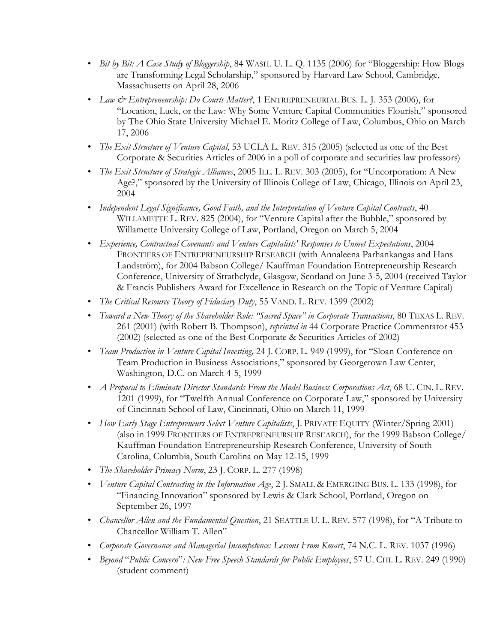- *Bit by Bit: A Case Study of Bloggership*, 84 WASH. U. L. Q. 1135 (2006) for "Bloggership: How Blogs are Transforming Legal Scholarship," sponsored by Harvard Law School, Cambridge, Massachusetts on April 28, 2006
- *Law & Entrepreneurship: Do Courts Matter?*, 1 ENTREPRENEURIAL BUS. L. J. 353 (2006), for "Location, Luck, or the Law: Why Some Venture Capital Communities Flourish," sponsored by The Ohio State University Michael E. Moritz College of Law, Columbus, Ohio on March 17, 2006
- *The Exit Structure of Venture Capital*, 53 UCLA L. REV. 315 (2005) (selected as one of the Best Corporate & Securities Articles of 2006 in a poll of corporate and securities law professors)
- *The Exit Structure of Strategic Alliances*, 2005 ILL. L. REV. 303 (2005), for "Uncorporation: A New Age?," sponsored by the University of Illinois College of Law, Chicago, Illinois on April 23, 2004
- *Independent Legal Significance, Good Faith, and the Interpretation of Venture Capital Contracts*, 40 WILLAMETTE L. REV. 825 (2004), for "Venture Capital after the Bubble," sponsored by Willamette University College of Law, Portland, Oregon on March 5, 2004
- *Experience, Contractual Covenants and Venture Capitalists' Responses to Unmet Expectations*, 2004 FRONTIERS OF ENTREPRENEURSHIP RESEARCH (with Annaleena Parhankangas and Hans Landström), for 2004 Babson College/ Kauffman Foundation Entrepreneurship Research Conference, University of Strathclyde, Glasgow, Scotland on June 3-5, 2004 (received Taylor & Francis Publishers Award for Excellence in Research on the Topic of Venture Capital)
- *The Critical Resource Theory of Fiduciary Duty*, 55 VAND. L. REV. 1399 (2002)
- *Toward a New Theory of the Shareholder Role: "Sacred Space" in Corporate Transactions*, 80 TEXAS L. REV. 261 (2001) (with Robert B. Thompson), *reprinted in* 44 Corporate Practice Commentator 453 (2002) (selected as one of the Best Corporate & Securities Articles of 2002)
- *Team Production in Venture Capital Investing,* 24 J. CORP. L. 949 (1999), for "Sloan Conference on Team Production in Business Associations," sponsored by Georgetown Law Center, Washington, D.C. on March 4-5, 1999
- *A Proposal to Eliminate Director Standards From the Model Business Corporations Act*, 68 U. CIN. L. REV. 1201 (1999), for "Twelfth Annual Conference on Corporate Law," sponsored by University of Cincinnati School of Law, Cincinnati, Ohio on March 11, 1999
- *How Early Stage Entrepreneurs Select Venture Capitalists*, J. PRIVATE EQUITY (Winter/Spring 2001) (also in 1999 FRONTIERS OF ENTREPRENEURSHIP RESEARCH), for the 1999 Babson College/ Kauffman Foundation Entrepreneurship Research Conference, University of South Carolina, Columbia, South Carolina on May 12-15, 1999
- *The Shareholder Primacy Norm*, 23 J. CORP. L. 277 (1998)
- *Venture Capital Contracting in the Information Age*, 2 J. SMALL & EMERGING BUS. L. 133 (1998), for "Financing Innovation" sponsored by Lewis & Clark School, Portland, Oregon on September 26, 1997
- *Chancellor Allen and the Fundamental Question*, 21 SEATTLE U. L. REV. 577 (1998), for "A Tribute to Chancellor William T. Allen"
- *Corporate Governance and Managerial Incompetence: Lessons From Kmart*, 74 N.C. L. REV. 1037 (1996)
- *Beyond* "*Public Concern*"*: New Free Speech Standards for Public Employees*, 57 U. CHI. L. REV. 249 (1990) (student comment)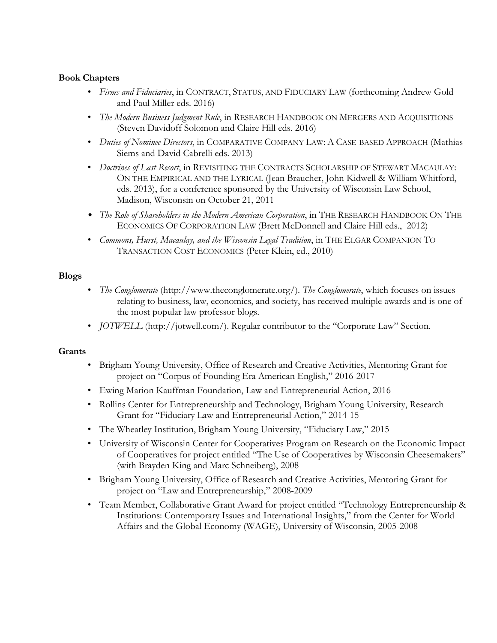### **Book Chapters**

- *Firms and Fiduciaries*, in CONTRACT, STATUS, AND FIDUCIARY LAW (forthcoming Andrew Gold and Paul Miller eds. 2016)
- *The Modern Business Judgment Rule*, in RESEARCH HANDBOOK ON MERGERS AND ACQUISITIONS (Steven Davidoff Solomon and Claire Hill eds. 2016)
- *Duties of Nominee Directors*, in COMPARATIVE COMPANY LAW: A CASE-BASED APPROACH (Mathias Siems and David Cabrelli eds. 2013)
- *Doctrines of Last Resort*, in REVISITING THE CONTRACTS SCHOLARSHIP OF STEWART MACAULAY: ON THE EMPIRICAL AND THE LYRICAL (Jean Braucher, John Kidwell & William Whitford, eds. 2013), for a conference sponsored by the University of Wisconsin Law School, Madison, Wisconsin on October 21, 2011
- *The Role of Shareholders in the Modern American Corporation*, in THE RESEARCH HANDBOOK ON THE ECONOMICS OF CORPORATION LAW (Brett McDonnell and Claire Hill eds., 2012)
- *Commons, Hurst, Macaulay, and the Wisconsin Legal Tradition*, in THE ELGAR COMPANION TO TRANSACTION COST ECONOMICS (Peter Klein, ed., 2010)

### **Blogs**

- *The Conglomerate* (http://www.theconglomerate.org/). *The Conglomerate*, which focuses on issues relating to business, law, economics, and society, has received multiple awards and is one of the most popular law professor blogs.
- *JOTWELL* (http://jotwell.com/). Regular contributor to the "Corporate Law" Section.

#### **Grants**

- Brigham Young University, Office of Research and Creative Activities, Mentoring Grant for project on "Corpus of Founding Era American English," 2016-2017
- Ewing Marion Kauffman Foundation, Law and Entrepreneurial Action, 2016
- Rollins Center for Entrepreneurship and Technology, Brigham Young University, Research Grant for "Fiduciary Law and Entrepreneurial Action," 2014-15
- The Wheatley Institution, Brigham Young University, "Fiduciary Law," 2015
- University of Wisconsin Center for Cooperatives Program on Research on the Economic Impact of Cooperatives for project entitled "The Use of Cooperatives by Wisconsin Cheesemakers" (with Brayden King and Marc Schneiberg), 2008
- Brigham Young University, Office of Research and Creative Activities, Mentoring Grant for project on "Law and Entrepreneurship," 2008-2009
- Team Member, Collaborative Grant Award for project entitled "Technology Entrepreneurship & Institutions: Contemporary Issues and International Insights," from the Center for World Affairs and the Global Economy (WAGE), University of Wisconsin, 2005-2008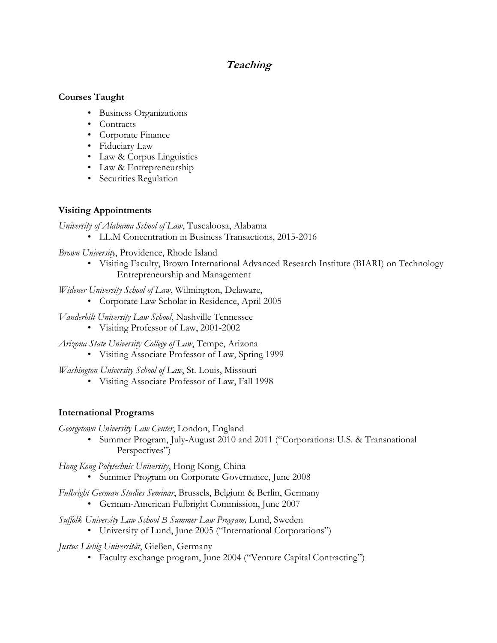# **Teaching**

#### **Courses Taught**

- Business Organizations
- Contracts
- Corporate Finance
- Fiduciary Law
- Law & Corpus Linguistics
- Law & Entrepreneurship
- Securities Regulation

## **Visiting Appointments**

*University of Alabama School of Law*, Tuscaloosa, Alabama

• LL.M Concentration in Business Transactions, 2015-2016

*Brown University*, Providence, Rhode Island

• Visiting Faculty, Brown International Advanced Research Institute (BIARI) on Technology Entrepreneurship and Management

*Widener University School of Law*, Wilmington, Delaware,

- Corporate Law Scholar in Residence, April 2005
- *Vanderbilt University Law School*, Nashville Tennessee
	- Visiting Professor of Law, 2001-2002

*Arizona State University College of Law*, Tempe, Arizona

• Visiting Associate Professor of Law, Spring 1999

*Washington University School of Law*, St. Louis, Missouri

• Visiting Associate Professor of Law, Fall 1998

## **International Programs**

*Georgetown University Law Center*, London, England

• Summer Program, July-August 2010 and 2011 ("Corporations: U.S. & Transnational Perspectives")

*Hong Kong Polytechnic University*, Hong Kong, China

• Summer Program on Corporate Governance, June 2008

*Fulbright German Studies Seminar*, Brussels, Belgium & Berlin, Germany

• German-American Fulbright Commission, June 2007

*Suffolk University Law School B Summer Law Program,* Lund, Sweden

• University of Lund, June 2005 ("International Corporations")

*Justus Liebig Universität*, Gießen, Germany

• Faculty exchange program, June 2004 ("Venture Capital Contracting")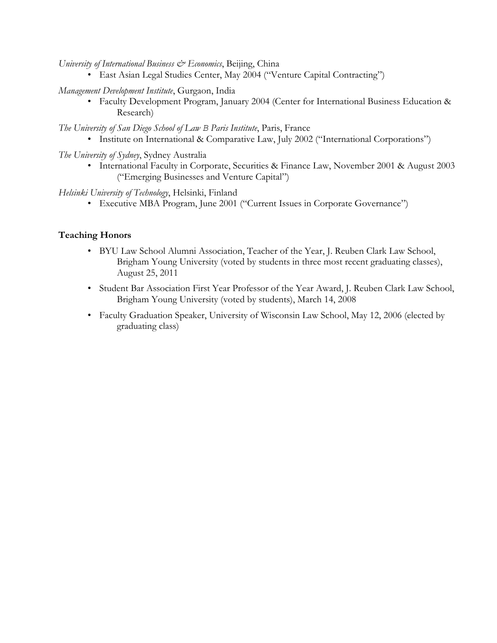*University of International Business & Economics*, Beijing, China

• East Asian Legal Studies Center, May 2004 ("Venture Capital Contracting")

*Management Development Institute*, Gurgaon, India

• Faculty Development Program, January 2004 (Center for International Business Education & Research)

*The University of San Diego School of Law B Paris Institute*, Paris, France

- Institute on International & Comparative Law, July 2002 ("International Corporations")
- *The University of Sydney*, Sydney Australia
	- International Faculty in Corporate, Securities & Finance Law, November 2001 & August 2003 ("Emerging Businesses and Venture Capital")

*Helsinki University of Technology*, Helsinki, Finland

• Executive MBA Program, June 2001 ("Current Issues in Corporate Governance")

### **Teaching Honors**

- BYU Law School Alumni Association, Teacher of the Year, J. Reuben Clark Law School, Brigham Young University (voted by students in three most recent graduating classes), August 25, 2011
- Student Bar Association First Year Professor of the Year Award, J. Reuben Clark Law School, Brigham Young University (voted by students), March 14, 2008
- Faculty Graduation Speaker, University of Wisconsin Law School, May 12, 2006 (elected by graduating class)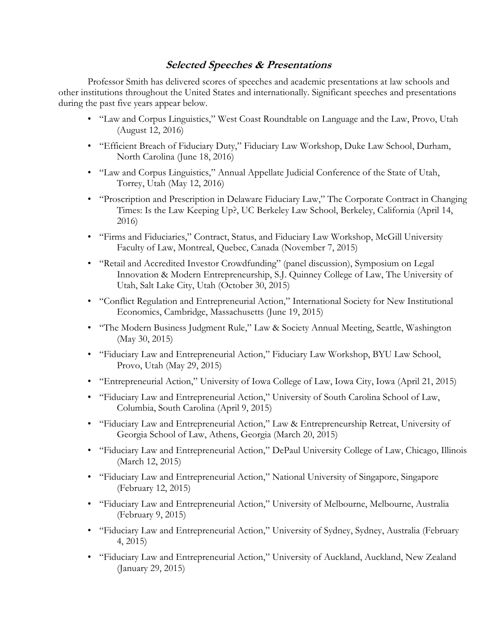## **Selected Speeches & Presentations**

Professor Smith has delivered scores of speeches and academic presentations at law schools and other institutions throughout the United States and internationally. Significant speeches and presentations during the past five years appear below.

- "Law and Corpus Linguistics," West Coast Roundtable on Language and the Law, Provo, Utah (August 12, 2016)
- "Efficient Breach of Fiduciary Duty," Fiduciary Law Workshop, Duke Law School, Durham, North Carolina (June 18, 2016)
- "Law and Corpus Linguistics," Annual Appellate Judicial Conference of the State of Utah, Torrey, Utah (May 12, 2016)
- "Proscription and Prescription in Delaware Fiduciary Law," The Corporate Contract in Changing Times: Is the Law Keeping Up?, UC Berkeley Law School, Berkeley, California (April 14, 2016)
- "Firms and Fiduciaries," Contract, Status, and Fiduciary Law Workshop, McGill University Faculty of Law, Montreal, Quebec, Canada (November 7, 2015)
- "Retail and Accredited Investor Crowdfunding" (panel discussion), Symposium on Legal Innovation & Modern Entrepreneurship, S.J. Quinney College of Law, The University of Utah, Salt Lake City, Utah (October 30, 2015)
- "Conflict Regulation and Entrepreneurial Action," International Society for New Institutional Economics, Cambridge, Massachusetts (June 19, 2015)
- "The Modern Business Judgment Rule," Law & Society Annual Meeting, Seattle, Washington (May 30, 2015)
- "Fiduciary Law and Entrepreneurial Action," Fiduciary Law Workshop, BYU Law School, Provo, Utah (May 29, 2015)
- "Entrepreneurial Action," University of Iowa College of Law, Iowa City, Iowa (April 21, 2015)
- "Fiduciary Law and Entrepreneurial Action," University of South Carolina School of Law, Columbia, South Carolina (April 9, 2015)
- "Fiduciary Law and Entrepreneurial Action," Law & Entrepreneurship Retreat, University of Georgia School of Law, Athens, Georgia (March 20, 2015)
- "Fiduciary Law and Entrepreneurial Action," DePaul University College of Law, Chicago, Illinois (March 12, 2015)
- "Fiduciary Law and Entrepreneurial Action," National University of Singapore, Singapore (February 12, 2015)
- "Fiduciary Law and Entrepreneurial Action," University of Melbourne, Melbourne, Australia (February 9, 2015)
- "Fiduciary Law and Entrepreneurial Action," University of Sydney, Sydney, Australia (February 4, 2015)
- "Fiduciary Law and Entrepreneurial Action," University of Auckland, Auckland, New Zealand (January 29, 2015)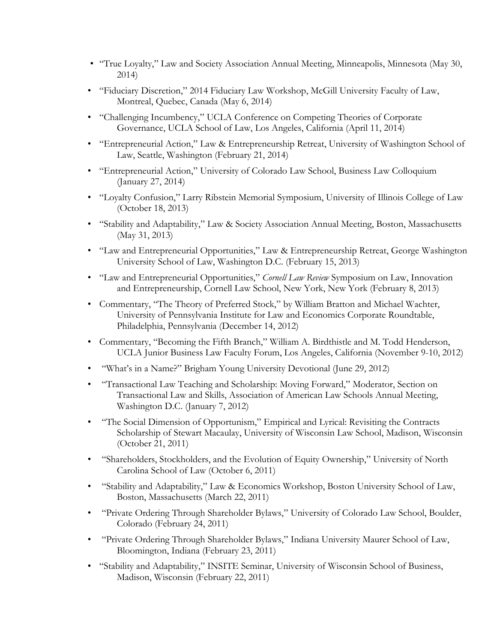- "True Loyalty," Law and Society Association Annual Meeting, Minneapolis, Minnesota (May 30, 2014)
- "Fiduciary Discretion," 2014 Fiduciary Law Workshop, McGill University Faculty of Law, Montreal, Quebec, Canada (May 6, 2014)
- "Challenging Incumbency," UCLA Conference on Competing Theories of Corporate Governance, UCLA School of Law, Los Angeles, California (April 11, 2014)
- "Entrepreneurial Action," Law & Entrepreneurship Retreat, University of Washington School of Law, Seattle, Washington (February 21, 2014)
- "Entrepreneurial Action," University of Colorado Law School, Business Law Colloquium (January 27, 2014)
- "Loyalty Confusion," Larry Ribstein Memorial Symposium, University of Illinois College of Law (October 18, 2013)
- "Stability and Adaptability," Law & Society Association Annual Meeting, Boston, Massachusetts (May 31, 2013)
- "Law and Entrepreneurial Opportunities," Law & Entrepreneurship Retreat, George Washington University School of Law, Washington D.C. (February 15, 2013)
- "Law and Entrepreneurial Opportunities," *Cornell Law Review* Symposium on Law, Innovation and Entrepreneurship, Cornell Law School, New York, New York (February 8, 2013)
- Commentary, "The Theory of Preferred Stock," by William Bratton and Michael Wachter, University of Pennsylvania Institute for Law and Economics Corporate Roundtable, Philadelphia, Pennsylvania (December 14, 2012)
- Commentary, "Becoming the Fifth Branch," William A. Birdthistle and M. Todd Henderson, UCLA Junior Business Law Faculty Forum, Los Angeles, California (November 9-10, 2012)
- "What's in a Name?" Brigham Young University Devotional (June 29, 2012)
- "Transactional Law Teaching and Scholarship: Moving Forward," Moderator, Section on Transactional Law and Skills, Association of American Law Schools Annual Meeting, Washington D.C. (January 7, 2012)
- "The Social Dimension of Opportunism," Empirical and Lyrical: Revisiting the Contracts Scholarship of Stewart Macaulay, University of Wisconsin Law School, Madison, Wisconsin (October 21, 2011)
- "Shareholders, Stockholders, and the Evolution of Equity Ownership," University of North Carolina School of Law (October 6, 2011)
- "Stability and Adaptability," Law & Economics Workshop, Boston University School of Law, Boston, Massachusetts (March 22, 2011)
- "Private Ordering Through Shareholder Bylaws," University of Colorado Law School, Boulder, Colorado (February 24, 2011)
- "Private Ordering Through Shareholder Bylaws," Indiana University Maurer School of Law, Bloomington, Indiana (February 23, 2011)
- "Stability and Adaptability," INSITE Seminar, University of Wisconsin School of Business, Madison, Wisconsin (February 22, 2011)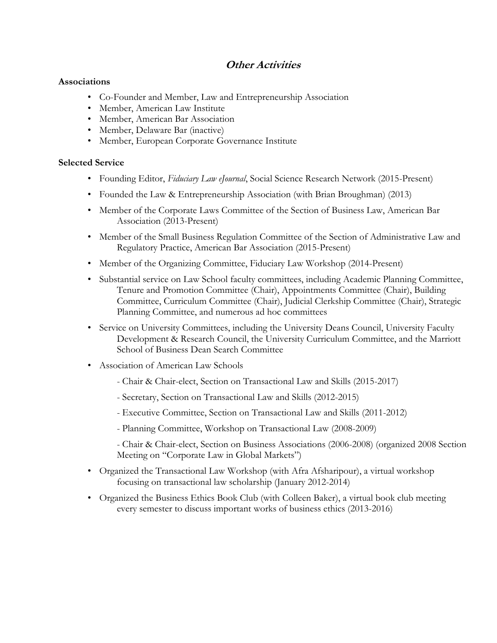# **Other Activities**

#### **Associations**

- Co-Founder and Member, Law and Entrepreneurship Association
- Member, American Law Institute
- Member, American Bar Association
- Member, Delaware Bar (inactive)
- Member, European Corporate Governance Institute

#### **Selected Service**

- Founding Editor, *Fiduciary Law eJournal*, Social Science Research Network (2015-Present)
- Founded the Law & Entrepreneurship Association (with Brian Broughman) (2013)
- Member of the Corporate Laws Committee of the Section of Business Law, American Bar Association (2013-Present)
- Member of the Small Business Regulation Committee of the Section of Administrative Law and Regulatory Practice, American Bar Association (2015-Present)
- Member of the Organizing Committee, Fiduciary Law Workshop (2014-Present)
- Substantial service on Law School faculty committees, including Academic Planning Committee, Tenure and Promotion Committee (Chair), Appointments Committee (Chair), Building Committee, Curriculum Committee (Chair), Judicial Clerkship Committee (Chair), Strategic Planning Committee, and numerous ad hoc committees
- Service on University Committees, including the University Deans Council, University Faculty Development & Research Council, the University Curriculum Committee, and the Marriott School of Business Dean Search Committee
- Association of American Law Schools
	- Chair & Chair-elect, Section on Transactional Law and Skills (2015-2017)
	- Secretary, Section on Transactional Law and Skills (2012-2015)
	- Executive Committee, Section on Transactional Law and Skills (2011-2012)
	- Planning Committee, Workshop on Transactional Law (2008-2009)
	- Chair & Chair-elect, Section on Business Associations (2006-2008) (organized 2008 Section Meeting on "Corporate Law in Global Markets")
- Organized the Transactional Law Workshop (with Afra Afsharipour), a virtual workshop focusing on transactional law scholarship (January 2012-2014)
- Organized the Business Ethics Book Club (with Colleen Baker), a virtual book club meeting every semester to discuss important works of business ethics (2013-2016)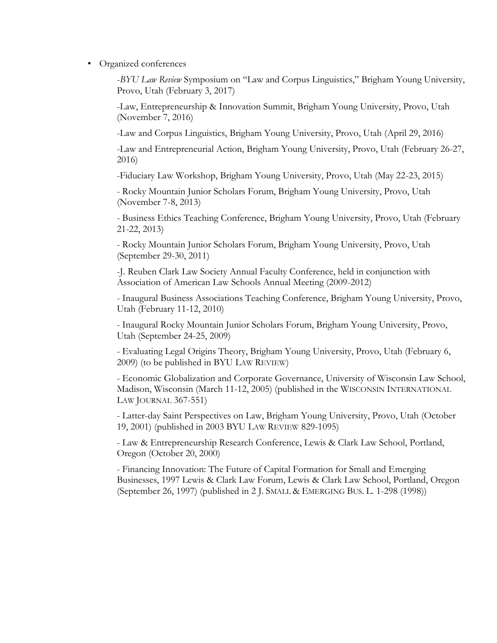• Organized conferences

-*BYU Law Review* Symposium on "Law and Corpus Linguistics," Brigham Young University, Provo, Utah (February 3, 2017)

-Law, Entrepreneurship & Innovation Summit, Brigham Young University, Provo, Utah (November 7, 2016)

-Law and Corpus Linguistics, Brigham Young University, Provo, Utah (April 29, 2016)

-Law and Entrepreneurial Action, Brigham Young University, Provo, Utah (February 26-27, 2016)

-Fiduciary Law Workshop, Brigham Young University, Provo, Utah (May 22-23, 2015)

- Rocky Mountain Junior Scholars Forum, Brigham Young University, Provo, Utah (November 7-8, 2013)

- Business Ethics Teaching Conference, Brigham Young University, Provo, Utah (February 21-22, 2013)

- Rocky Mountain Junior Scholars Forum, Brigham Young University, Provo, Utah (September 29-30, 2011)

-J. Reuben Clark Law Society Annual Faculty Conference, held in conjunction with Association of American Law Schools Annual Meeting (2009-2012)

- Inaugural Business Associations Teaching Conference, Brigham Young University, Provo, Utah (February 11-12, 2010)

- Inaugural Rocky Mountain Junior Scholars Forum, Brigham Young University, Provo, Utah (September 24-25, 2009)

- Evaluating Legal Origins Theory, Brigham Young University, Provo, Utah (February 6, 2009) (to be published in BYU LAW REVIEW)

- Economic Globalization and Corporate Governance, University of Wisconsin Law School, Madison, Wisconsin (March 11-12, 2005) (published in the WISCONSIN INTERNATIONAL LAW JOURNAL 367-551)

- Latter-day Saint Perspectives on Law, Brigham Young University, Provo, Utah (October 19, 2001) (published in 2003 BYU LAW REVIEW 829-1095)

- Law & Entrepreneurship Research Conference, Lewis & Clark Law School, Portland, Oregon (October 20, 2000)

- Financing Innovation: The Future of Capital Formation for Small and Emerging Businesses, 1997 Lewis & Clark Law Forum, Lewis & Clark Law School, Portland, Oregon (September 26, 1997) (published in 2 J. SMALL & EMERGING BUS. L. 1-298 (1998))